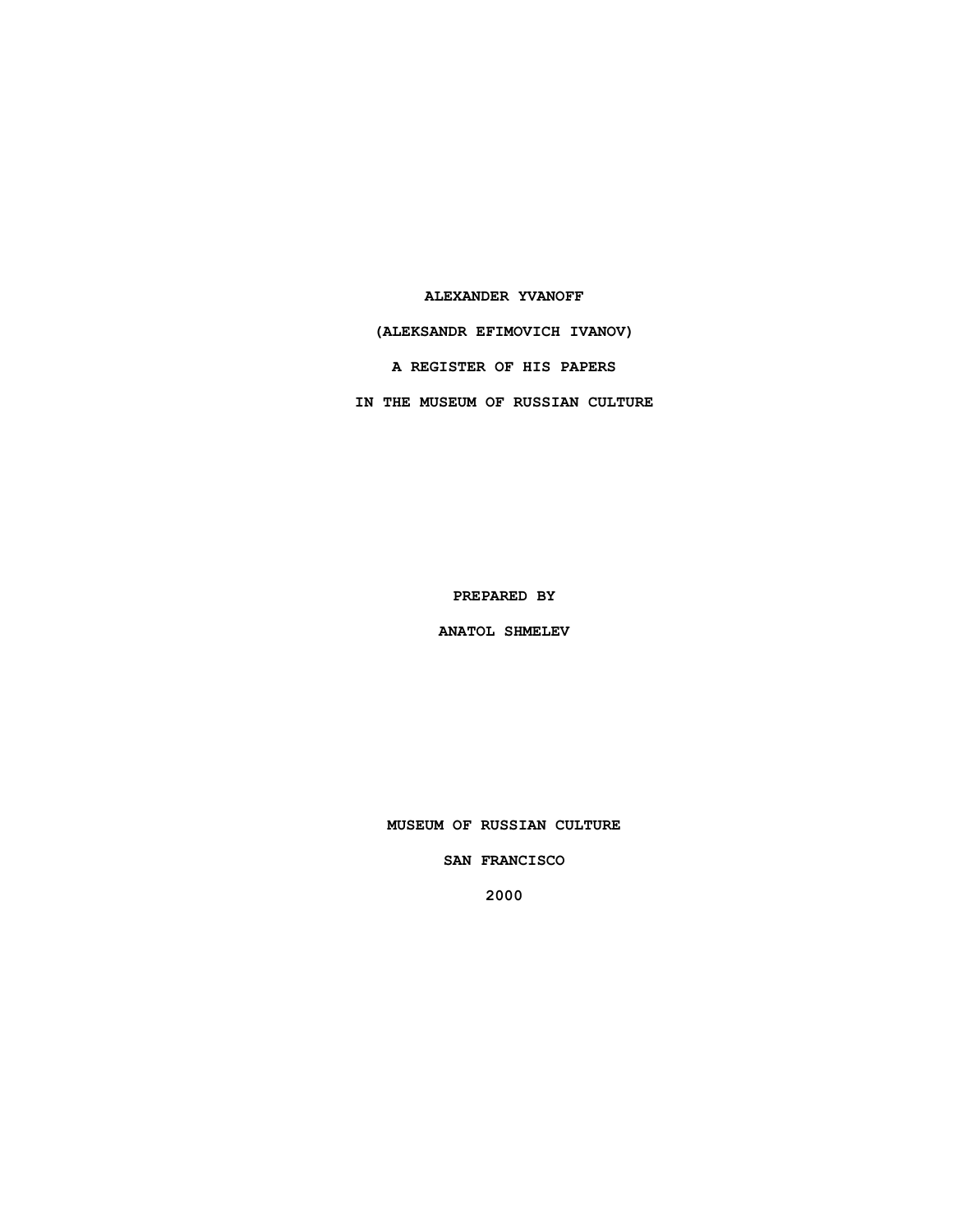### **ALEXANDER YVANOFF**

**(ALEKSANDR EFIMOVICH IVANOV)**

**A REGISTER OF HIS PAPERS**

**IN THE MUSEUM OF RUSSIAN CULTURE**

**PREPARED BY**

**ANATOL SHMELEV**

**MUSEUM OF RUSSIAN CULTURE**

**SAN FRANCISCO**

**2000**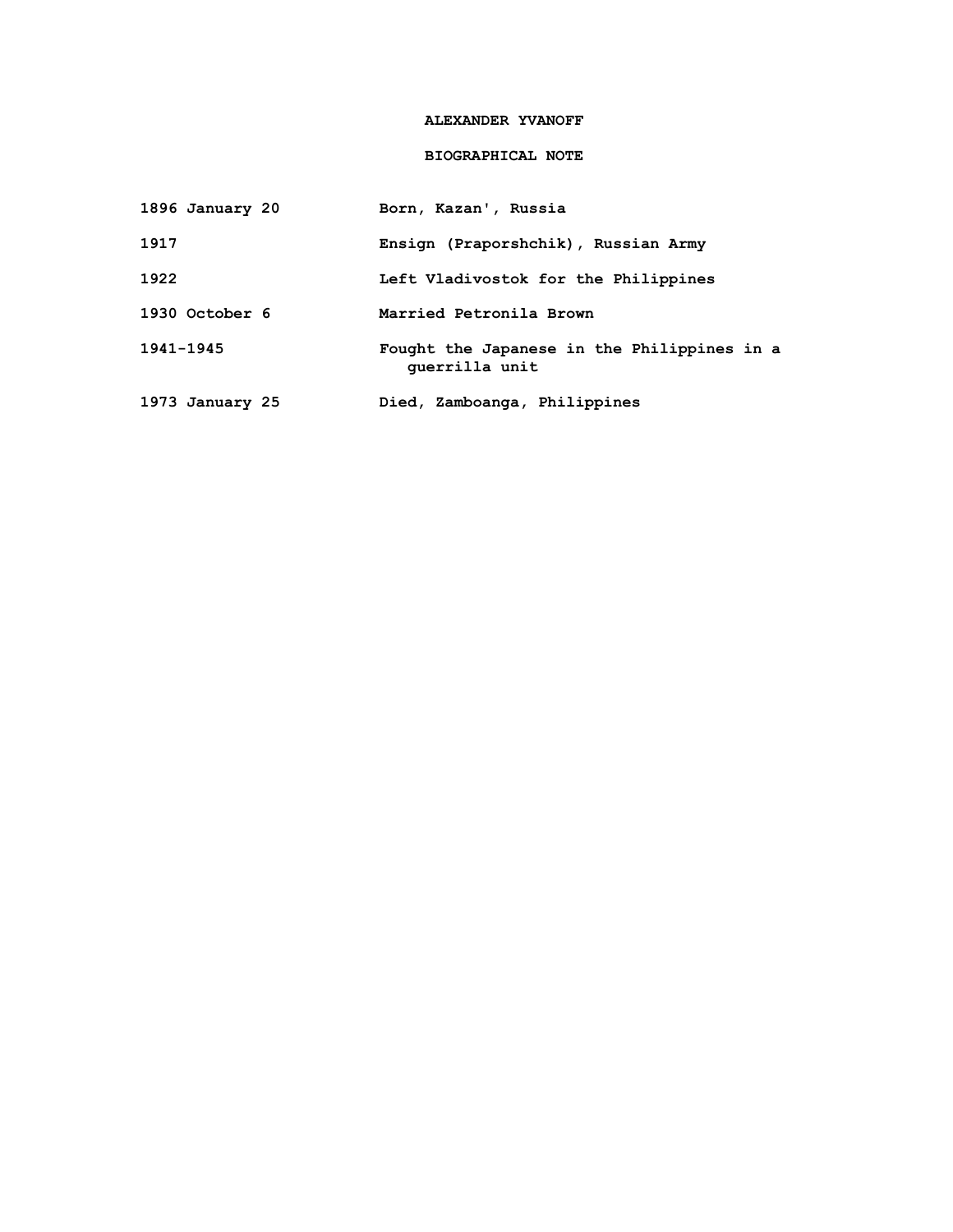## **ALEXANDER YVANOFF**

# **BIOGRAPHICAL NOTE**

| 1896 January 20 | Born, Kazan', Russia                                          |
|-----------------|---------------------------------------------------------------|
| 1917            | Ensign (Praporshchik), Russian Army                           |
| 1922            | Left Vladivostok for the Philippines                          |
| 1930 October 6  | Married Petronila Brown                                       |
| $1941 - 1945$   | Fought the Japanese in the Philippines in a<br>querrilla unit |
| 1973 January 25 | Died, Zamboanga, Philippines                                  |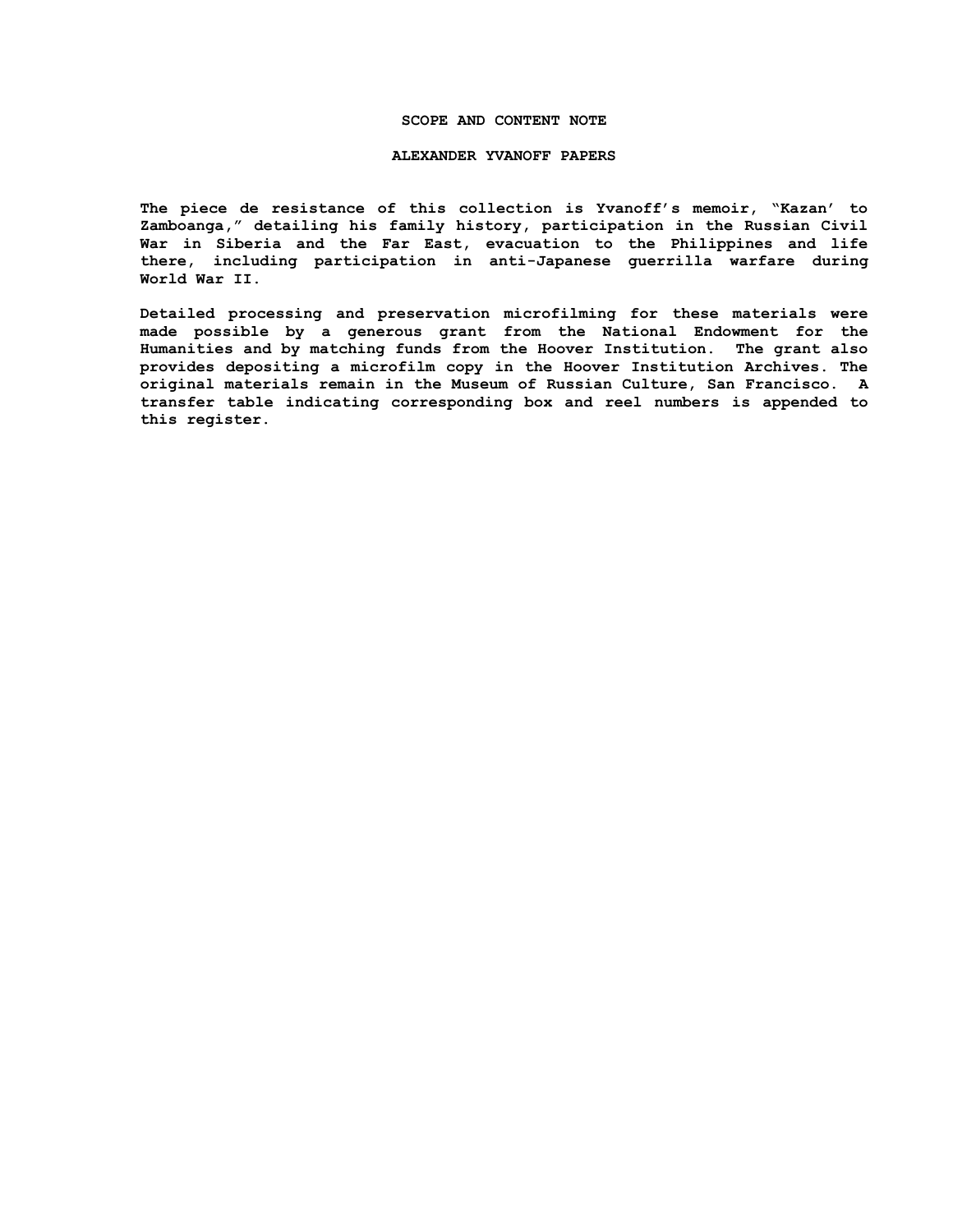### **SCOPE AND CONTENT NOTE**

#### **ALEXANDER YVANOFF PAPERS**

**The piece de resistance of this collection is Yvanoff's memoir, "Kazan' to Zamboanga," detailing his family history, participation in the Russian Civil War in Siberia and the Far East, evacuation to the Philippines and life there, including participation in anti-Japanese guerrilla warfare during World War II.**

**Detailed processing and preservation microfilming for these materials were made possible by a generous grant from the National Endowment for the Humanities and by matching funds from the Hoover Institution. The grant also provides depositing a microfilm copy in the Hoover Institution Archives. The original materials remain in the Museum of Russian Culture, San Francisco. A transfer table indicating corresponding box and reel numbers is appended to this register.**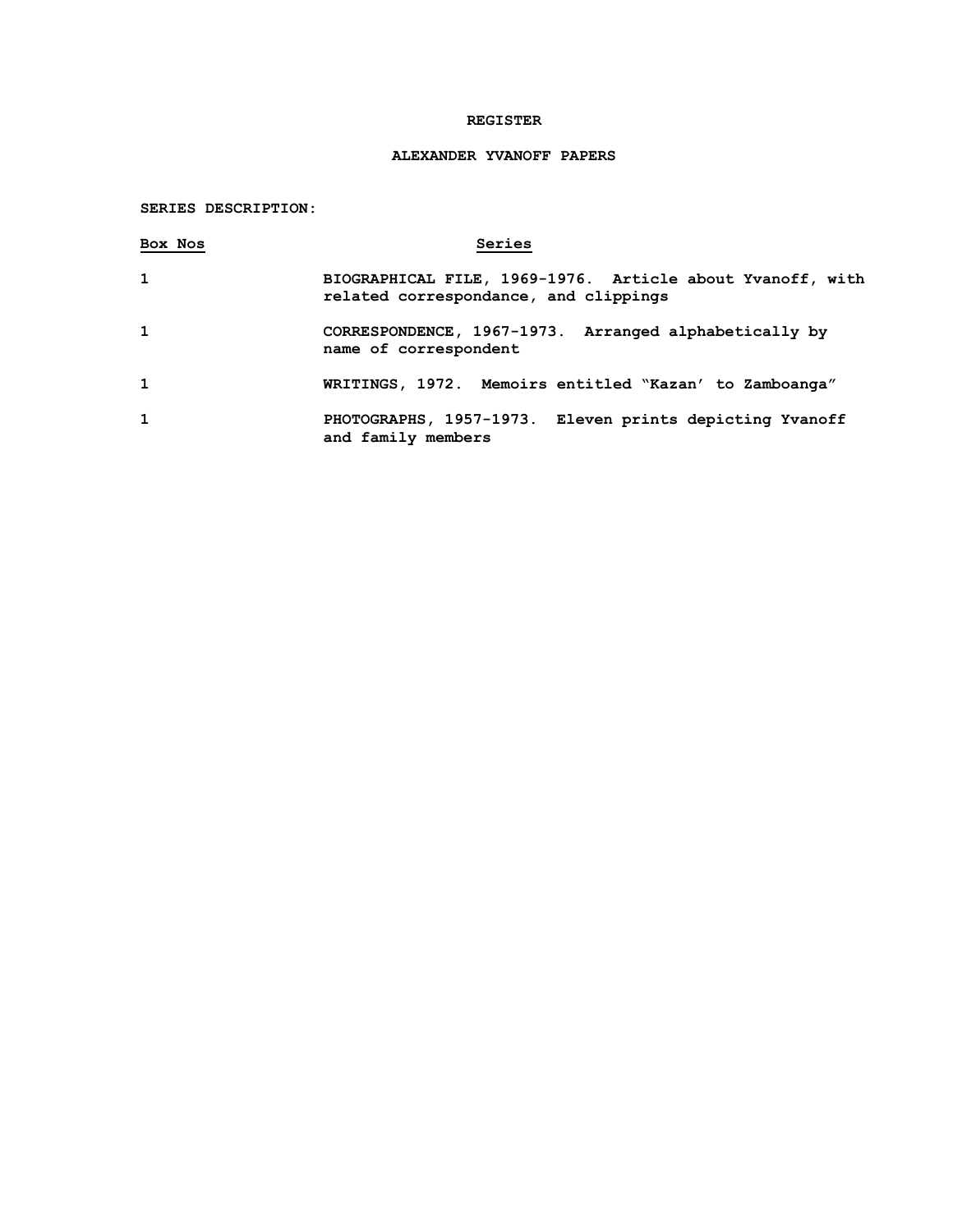## **REGISTER**

# **ALEXANDER YVANOFF PAPERS**

# **SERIES DESCRIPTION:**

| Box Nos      | Series                                                                                             |
|--------------|----------------------------------------------------------------------------------------------------|
| $\mathbf{1}$ | BIOGRAPHICAL FILE, 1969-1976. Article about Yvanoff, with<br>related correspondance, and clippings |
| $\mathbf{1}$ | CORRESPONDENCE, 1967-1973. Arranged alphabetically by<br>name of correspondent                     |
| $\mathbf{1}$ | WRITINGS, 1972. Memoirs entitled "Kazan' to Zamboanga"                                             |
| $\mathbf{1}$ | PHOTOGRAPHS, 1957-1973. Eleven prints depicting Yvanoff<br>and family members                      |